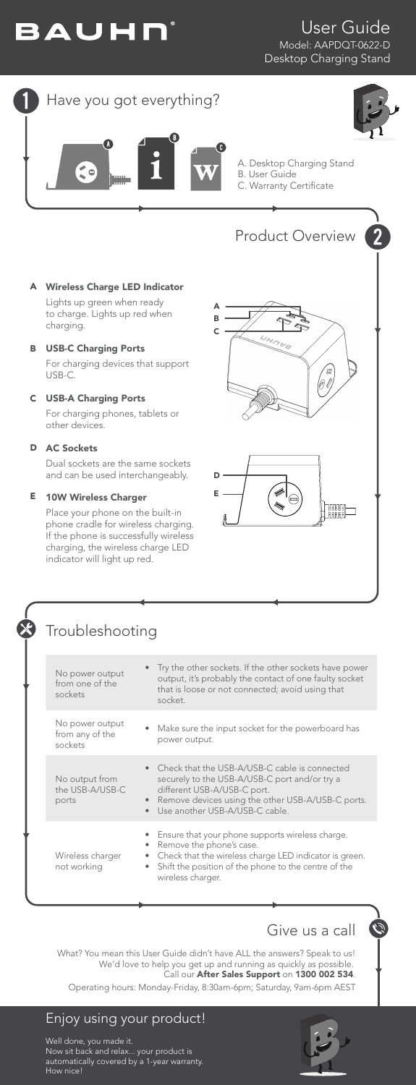

## User Guide Model: AAPDQT-0622-D Desktop Charging Stand

# Have you got everything?



A. Desktop Charging Stand B. User Guide C. Warranty Certificate

# Product Overview 2 (0 l)

A B C



#### Wireless Charge LED Indicator A

Lights up green when ready to charge. Lights up red when charging.

#### USB-C Charging Ports B

For charging devices that support USB-C.

## USB-A Charging Ports C

For charging phones, tablets or other devices.

#### AC Sockets D

Dual sockets are the same sockets and can be used interchangeably.

#### 10W Wireless Charger E

Place your phone on the built-in phone cradle for wireless charging. If the phone is successfully wireless charging, the wireless charge LED indicator will light up red.



| No power output<br>from one of the<br>sockets | • Try the other sockets. If the other sockets have power<br>output, it's probably the contact of one faulty socket<br>that is loose or not connected; avoid using that<br>socket.                                                                |
|-----------------------------------------------|--------------------------------------------------------------------------------------------------------------------------------------------------------------------------------------------------------------------------------------------------|
| No power output<br>from any of the<br>sockets | Make sure the input socket for the powerboard has<br>power output.                                                                                                                                                                               |
| No output from<br>the USB-A/USB-C<br>ports    | • Check that the USB-A/USB-C cable is connected<br>securely to the USB-A/USB-C port and/or try a<br>different USB-A/USB-C port.<br>Remove devices using the other USB-A/USB-C ports.<br>$\bullet$<br>Use another USB-A/USB-C cable.<br>$\bullet$ |
| Wireless charger<br>not working               | Ensure that your phone supports wireless charge.<br>Remove the phone's case.<br>Check that the wireless charge LED indicator is green.<br>Shift the position of the phone to the centre of the<br>$\bullet$<br>wireless charger.                 |



 $\mathcal{L}$ 

What? You mean this User Guide didn't have ALL the answers? Speak to us! We'd love to help you get up and running as quickly as possible. Call our After Sales Support on 1300 002 534.

Operating hours: Monday-Friday, 8:30am-6pm; Saturday, 9am-6pm AEST

# Enjoy using your product!

Well done, you made it. Now sit back and relax... your product is automatically covered by a 1-year warranty. How nice!